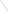